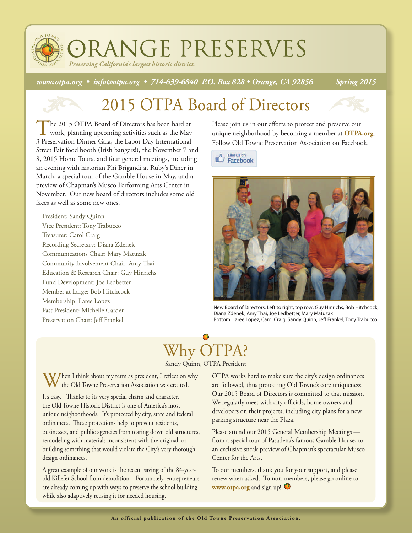ORANGE PRESERVES *Preserving California's largest historic district.*

*www.otpa.org • info@otpa.org • 714-639-6840 P.O. Box 828 • Orange, CA 92856 Spring 2015*

## 2015 OTPA Board of Directors

The 2015 OTPA Board of Directors has been hard at work, planning upcoming activities such as the May 3 Preservation Dinner Gala, the Labor Day International Street Fair food booth (Irish bangers!), the November 7 and 8, 2015 Home Tours, and four general meetings, including an evening with historian Phi Brigandi at Ruby's Diner in March, a special tour of the Gamble House in May, and a preview of Chapman's Musco Performing Arts Center in November. Our new board of directors includes some old faces as well as some new ones.

President: Sandy Quinn Vice President: Tony Trabucco Treasurer: Carol Craig Recording Secretary: Diana Zdenek Communications Chair: Mary Matuzak Community Involvement Chair: Amy Thai Education & Research Chair: Guy Hinrichs Fund Development: Joe Ledbetter Member at Large: Bob Hitchcock Membership: Laree Lopez Past President: Michelle Carder Preservation Chair: Jeff Frankel

Please join us in our efforts to protect and preserve our unique neighborhood by becoming a member at **OTPA.org**. Follow Old Towne Preservation Association on Facebook.

 $\bigoplus$  Like us on Facebook



New Board of Directors. Left to right, top row: Guy Hinrichs, Bob Hitchcock, Diana Zdenek, Amy Thai, Joe Ledbetter, Mary Matuzak Bottom: Laree Lopez, Carol Craig, Sandy Quinn, Jeff Frankel, Tony Trabucco

#### Why OTPA? Sandy Quinn, OTPA President

Then I think about my term as president, I reflect on why the Old Towne Preservation Association was created.

It's easy. Thanks to its very special charm and character, the Old Towne Historic District is one of America's most unique neighborhoods. It's protected by city, state and federal ordinances. These protections help to prevent residents, businesses, and public agencies from tearing down old structures, remodeling with materials inconsistent with the original, or building something that would violate the City's very thorough design ordinances.

A great example of our work is the recent saving of the 84-yearold Killefer School from demolition. Fortunately, entrepreneurs are already coming up with ways to preserve the school building while also adaptively reusing it for needed housing.

OTPA works hard to make sure the city's design ordinances are followed, thus protecting Old Towne's core uniqueness. Our 2015 Board of Directors is committed to that mission. We regularly meet with city officials, home owners and developers on their projects, including city plans for a new parking structure near the Plaza.

Please attend our 2015 General Membership Meetings from a special tour of Pasadena's famous Gamble House, to an exclusive sneak preview of Chapman's spectacular Musco Center for the Arts.

To our members, thank you for your support, and please renew when asked. To non-members, please go online to **www.otpa.org** and sign up!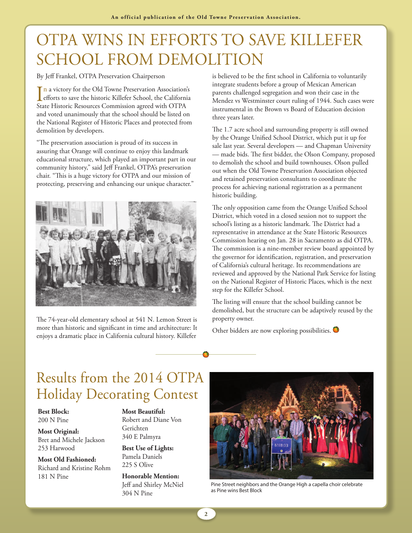# OTPA WINS IN EFFORTS TO SAVE KILLEFER SCHOOL FROM DEMOLITION

By Jeff Frankel, OTPA Preservation Chairperson

In a victory for the Old Towne Preservation Association's<br>efforts to save the historic Killefer School, the California<br>State Historic Resources Commission agreed with OTPA efforts to save the historic Killefer School, the California State Historic Resources Commission agreed with OTPA and voted unanimously that the school should be listed on the National Register of Historic Places and protected from demolition by developers.

"The preservation association is proud of its success in assuring that Orange will continue to enjoy this landmark educational structure, which played an important part in our community history," said Jeff Frankel, OTPA's preservation chair. "This is a huge victory for OTPA and our mission of protecting, preserving and enhancing our unique character."



The 74-year-old elementary school at 541 N. Lemon Street is more than historic and significant in time and architecture: It enjoys a dramatic place in California cultural history. Killefer

is believed to be the first school in California to voluntarily integrate students before a group of Mexican American parents challenged segregation and won their case in the Mendez vs Westminster court ruling of 1944. Such cases were instrumental in the Brown vs Board of Education decision three years later.

The 1.7 acre school and surrounding property is still owned by the Orange Unified School District, which put it up for sale last year. Several developers — and Chapman University — made bids. The first bidder, the Olson Company, proposed to demolish the school and build townhouses. Olson pulled out when the Old Towne Preservation Association objected and retained preservation consultants to coordinate the process for achieving national registration as a permanent historic building.

The only opposition came from the Orange Unified School District, which voted in a closed session not to support the school's listing as a historic landmark. The District had a representative in attendance at the State Historic Resources Commission hearing on Jan. 28 in Sacramento as did OTPA. The commission is a nine-member review board appointed by the governor for identification, registration, and preservation of California's cultural heritage. Its recommendations are reviewed and approved by the National Park Service for listing on the National Register of Historic Places, which is the next step for the Killefer School.

The listing will ensure that the school building cannot be demolished, but the structure can be adaptively reused by the property owner.

Other bidders are now exploring possibilities.  $\bullet$ 

### Results from the 2014 OTPA Holiday Decorating Contest

**Best Block:**  200 N Pine

**Most Original:** Bret and Michele Jackson 253 Harwood

**Most Old Fashioned:** Richard and Kristine Rohm 181 N Pine

**Most Beautiful:** Robert and Diane Von Gerichten 340 E Palmyra

**Best Use of Lights:** Pamela Daniels 225 S Olive

**Honorable Mention:** Jeff and Shirley McNiel 304 N Pine



Pine Street neighbors and the Orange High a capella choir celebrate as Pine wins Best Block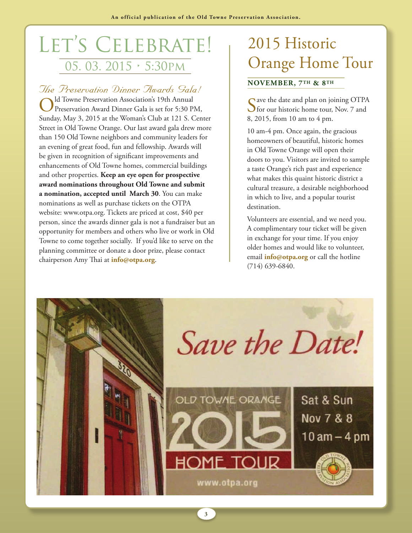# LET'S CELEBRATE! 05. 03. 2015 • 5:30pm

# *The Preservation Dinner Awards Gala!*

Old Towne Preservation Association's 19th Annual<br>Preservation Award Dinner Gala is set for 5:30 PM, Sunday, May 3, 2015 at the Woman's Club at 121 S. Center Street in Old Towne Orange. Our last award gala drew more than 150 Old Towne neighbors and community leaders for an evening of great food, fun and fellowship. Awards will be given in recognition of significant improvements and enhancements of Old Towne homes, commercial buildings and other properties. **Keep an eye open for prospective award nominations throughout Old Towne and submit a nomination, accepted until March 30**. You can make nominations as well as purchase tickets on the OTPA website: www.otpa.org. Tickets are priced at cost, \$40 per person, since the awards dinner gala is not a fundraiser but an opportunity for members and others who live or work in Old Towne to come together socially. If you'd like to serve on the planning committee or donate a door prize, please contact chairperson Amy Thai at **info@otpa.org**.

# 2015 Historic Orange Home Tour

#### **NOVEMBER, 7TH & 8TH**

Save the date and plan on joining OTPA<br>
for our historic home tour, Nov. 7 and 8, 2015, from 10 am to 4 pm.

10 am-4 pm. Once again, the gracious homeowners of beautiful, historic homes in Old Towne Orange will open their doors to you. Visitors are invited to sample a taste Orange's rich past and experience what makes this quaint historic district a cultural treasure, a desirable neighborhood in which to live, and a popular tourist destination.

Volunteers are essential, and we need you. A complimentary tour ticket will be given in exchange for your time. If you enjoy older homes and would like to volunteer, email **info@otpa.org** or call the hotline (714) 639-6840.



**3**